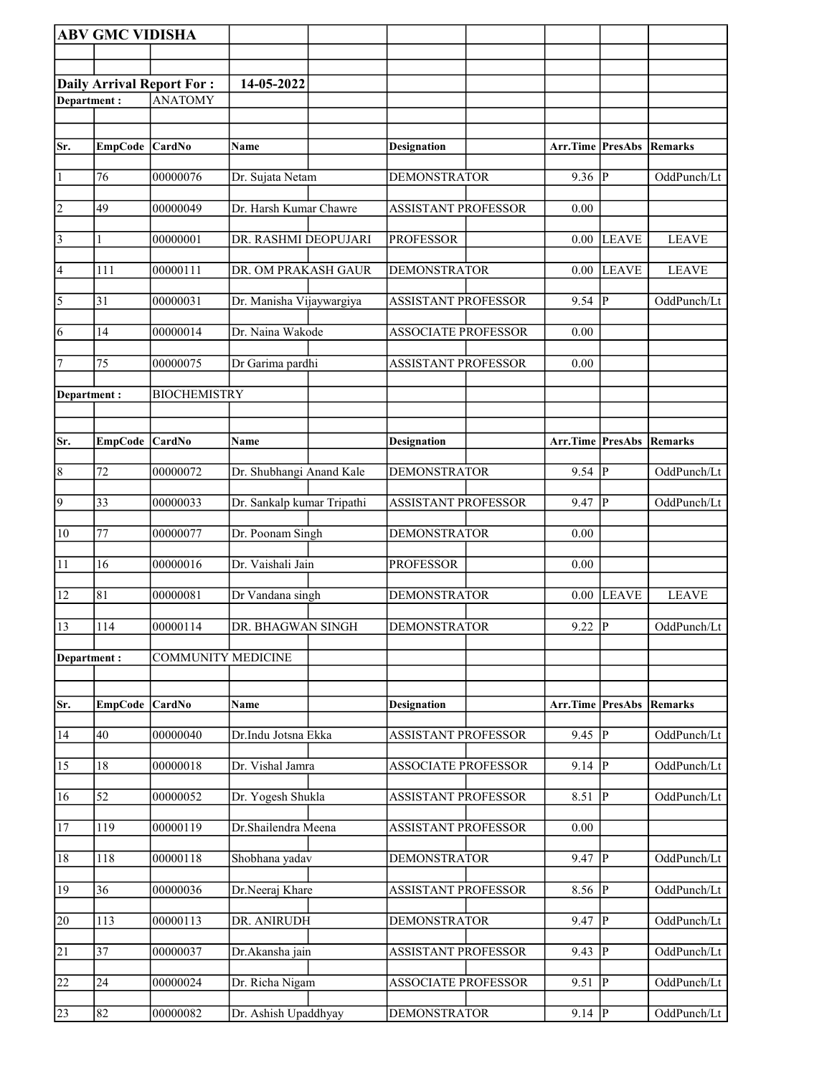|                 | <b>ABV GMC VIDISHA</b> |                           |                            |                            |                  |                |              |
|-----------------|------------------------|---------------------------|----------------------------|----------------------------|------------------|----------------|--------------|
|                 |                        |                           |                            |                            |                  |                |              |
|                 |                        | Daily Arrival Report For: | 14-05-2022                 |                            |                  |                |              |
| Department:     |                        | <b>ANATOMY</b>            |                            |                            |                  |                |              |
|                 |                        |                           |                            |                            |                  |                |              |
| Sr.             | EmpCode CardNo         |                           | Name                       | <b>Designation</b>         | Arr.Time PresAbs |                | Remarks      |
|                 |                        |                           |                            |                            |                  |                |              |
| $\vert$ 1       | 76                     | 00000076                  | Dr. Sujata Netam           | <b>DEMONSTRATOR</b>        | $9.36$ P         |                | OddPunch/Lt  |
| $\overline{2}$  | 49                     | 00000049                  | Dr. Harsh Kumar Chawre     | <b>ASSISTANT PROFESSOR</b> | 0.00             |                |              |
| $\vert$ 3       | 1                      | 00000001                  | DR. RASHMI DEOPUJARI       | <b>PROFESSOR</b>           |                  | $0.00$ LEAVE   | <b>LEAVE</b> |
| 4               | 111                    | 00000111                  | DR. OM PRAKASH GAUR        | <b>DEMONSTRATOR</b>        | 0.00             | <b>LEAVE</b>   | <b>LEAVE</b> |
| $\overline{5}$  | 31                     | 00000031                  | Dr. Manisha Vijaywargiya   | <b>ASSISTANT PROFESSOR</b> | 9.54             | $\overline{P}$ | OddPunch/Lt  |
| 6               | 14                     | 00000014                  | Dr. Naina Wakode           | <b>ASSOCIATE PROFESSOR</b> | 0.00             |                |              |
| 7               | 75                     | 00000075                  | Dr Garima pardhi           | <b>ASSISTANT PROFESSOR</b> | 0.00             |                |              |
| Department:     |                        | <b>BIOCHEMISTRY</b>       |                            |                            |                  |                |              |
|                 |                        |                           |                            |                            |                  |                |              |
| Sr.             | EmpCode CardNo         |                           | Name                       | Designation                | Arr.Time PresAbs |                | Remarks      |
| $\vert 8$       | 72                     | 00000072                  | Dr. Shubhangi Anand Kale   | <b>DEMONSTRATOR</b>        | $9.54$ P         |                | OddPunch/Lt  |
| $\overline{9}$  | 33                     | 00000033                  | Dr. Sankalp kumar Tripathi | ASSISTANT PROFESSOR        | 9.47             | P              | OddPunch/Lt  |
| $ 10\rangle$    | 77                     | 00000077                  | Dr. Poonam Singh           | <b>DEMONSTRATOR</b>        | 0.00             |                |              |
| 11              | 16                     | 00000016                  | Dr. Vaishali Jain          | <b>PROFESSOR</b>           | 0.00             |                |              |
| 12              | 81                     | 00000081                  | Dr Vandana singh           | <b>DEMONSTRATOR</b>        |                  | $0.00$ LEAVE   | <b>LEAVE</b> |
| 13              | 114                    | 00000114                  | DR. BHAGWAN SINGH          | <b>DEMONSTRATOR</b>        | $9.22$ P         |                | OddPunch/Lt  |
| Department:     |                        | <b>COMMUNITY MEDICINE</b> |                            |                            |                  |                |              |
|                 |                        |                           |                            |                            |                  |                |              |
| Sr.             | <b>EmpCode</b>         | <b>CardNo</b>             | Name                       | <b>Designation</b>         | Arr.Time PresAbs |                | Remarks      |
| 14              | $40\,$                 | 00000040                  | Dr.Indu Jotsna Ekka        | ASSISTANT PROFESSOR        | 9.45             | P              | OddPunch/Lt  |
| $\overline{15}$ | 18                     | 00000018                  | Dr. Vishal Jamra           | <b>ASSOCIATE PROFESSOR</b> | 9.14             | $\overline{P}$ | OddPunch/Lt  |
| 16              | 52                     | 00000052                  | Dr. Yogesh Shukla          | <b>ASSISTANT PROFESSOR</b> | 8.51             | P              | OddPunch/Lt  |
| 17              | 119                    | 00000119                  | Dr.Shailendra Meena        | <b>ASSISTANT PROFESSOR</b> | 0.00             |                |              |
| 18              | 118                    | 00000118                  | Shobhana yadav             | <b>DEMONSTRATOR</b>        | $9.47$ P         |                | OddPunch/Lt  |
| 19              | 36                     | 00000036                  | Dr.Neeraj Khare            | <b>ASSISTANT PROFESSOR</b> | 8.56 P           |                | OddPunch/Lt  |
| $\overline{20}$ | 113                    | 00000113                  | DR. ANIRUDH                | <b>DEMONSTRATOR</b>        | 9.47             | $ {\bf P} $    | OddPunch/Lt  |
| 21              | 37                     | 00000037                  | Dr.Akansha jain            | <b>ASSISTANT PROFESSOR</b> | 9.43             | P              | OddPunch/Lt  |
| $\overline{22}$ | 24                     | 00000024                  | Dr. Richa Nigam            | <b>ASSOCIATE PROFESSOR</b> | 9.51             | P              | OddPunch/Lt  |
| 23              | 82                     | 00000082                  | Dr. Ashish Upaddhyay       | <b>DEMONSTRATOR</b>        | $9.14$ P         |                | OddPunch/Lt  |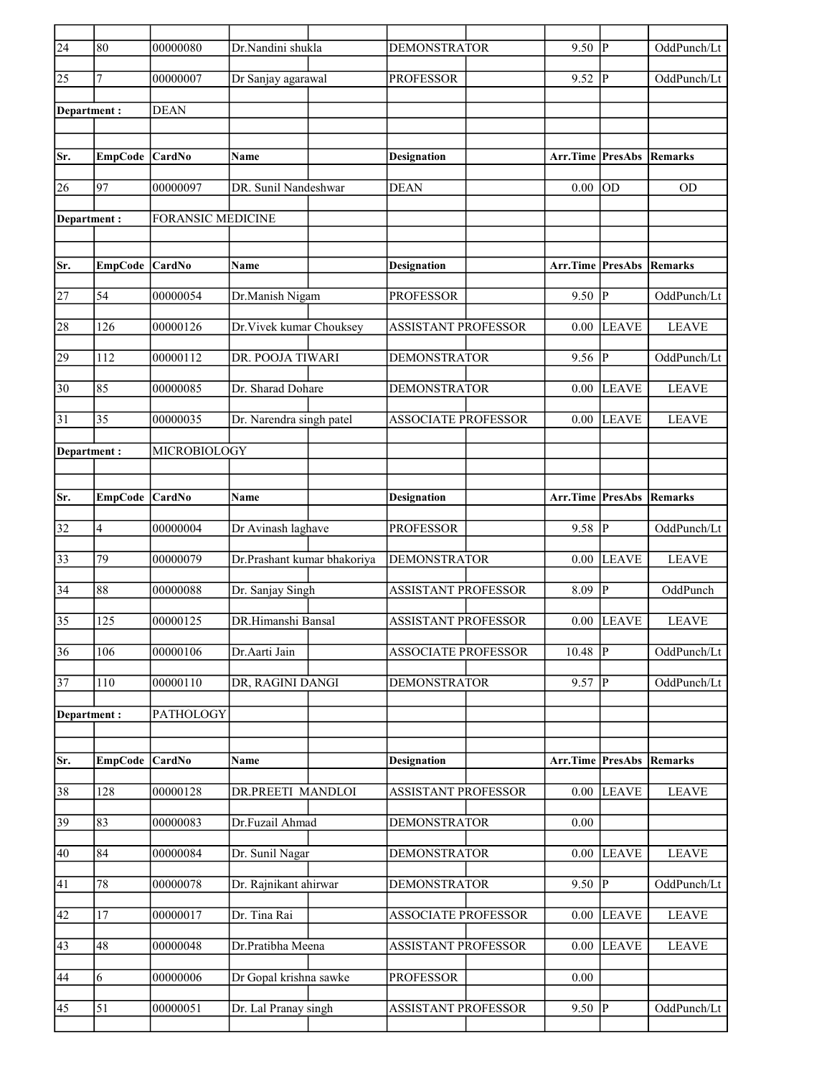| $\overline{24}$ | 80             | 00000080                 | Dr.Nandini shukla           | <b>DEMONSTRATOR</b>        | 9.50                    | <sup> p</sup>  | OddPunch/Lt  |
|-----------------|----------------|--------------------------|-----------------------------|----------------------------|-------------------------|----------------|--------------|
| 25              | $\overline{7}$ | 00000007                 | Dr Sanjay agarawal          | <b>PROFESSOR</b>           | $9.52$ P                |                | OddPunch/Lt  |
| Department :    |                | <b>DEAN</b>              |                             |                            |                         |                |              |
|                 |                |                          |                             |                            |                         |                |              |
| Sr.             | <b>EmpCode</b> | <b>CardNo</b>            | Name                        | <b>Designation</b>         | Arr.Time PresAbs        |                | Remarks      |
| 26              | 97             | 00000097                 | DR. Sunil Nandeshwar        | <b>DEAN</b>                | 0.00                    | <b>OD</b>      | <b>OD</b>    |
| Department :    |                | <b>FORANSIC MEDICINE</b> |                             |                            |                         |                |              |
|                 |                |                          |                             |                            |                         |                |              |
| Sr.             | <b>EmpCode</b> | <b>CardNo</b>            | Name                        | <b>Designation</b>         | <b>Arr.Time PresAbs</b> |                | Remarks      |
| 27              | 54             | 00000054                 | Dr.Manish Nigam             | <b>PROFESSOR</b>           | $9.50$ P                |                | OddPunch/Lt  |
| 28              | 126            | 00000126                 | Dr. Vivek kumar Chouksey    | <b>ASSISTANT PROFESSOR</b> | 0.00                    | <b>LEAVE</b>   | <b>LEAVE</b> |
| 29              | 112            | 00000112                 | <b>DR. POOJA TIWARI</b>     | <b>DEMONSTRATOR</b>        | 9.56                    | <sup> p</sup>  | OddPunch/Lt  |
| 30              | 85             | 00000085                 | Dr. Sharad Dohare           | <b>DEMONSTRATOR</b>        | $0.00\,$                | <b>LEAVE</b>   | <b>LEAVE</b> |
| 31              | 35             | 00000035                 | Dr. Narendra singh patel    | <b>ASSOCIATE PROFESSOR</b> | 0.00                    | LEAVE          | <b>LEAVE</b> |
| Department :    |                | MICROBIOLOGY             |                             |                            |                         |                |              |
|                 |                |                          |                             |                            |                         |                |              |
| Sr.             | <b>EmpCode</b> | <b>CardNo</b>            | Name                        | <b>Designation</b>         | <b>Arr.Time PresAbs</b> |                | Remarks      |
| 32              |                | 00000004                 |                             | <b>PROFESSOR</b>           | $9.58$ P                |                | OddPunch/Lt  |
|                 | 4              |                          | Dr Avinash laghave          |                            |                         |                |              |
| 33              | 79             | 00000079                 | Dr.Prashant kumar bhakoriya | <b>DEMONSTRATOR</b>        | 0.00                    | <b>LEAVE</b>   | <b>LEAVE</b> |
| 34              | 88             | 00000088                 | Dr. Sanjay Singh            | <b>ASSISTANT PROFESSOR</b> | 8.09                    | P              | OddPunch     |
| 35              | 125            | 00000125                 | DR.Himanshi Bansal          | <b>ASSISTANT PROFESSOR</b> |                         | $0.00$ LEAVE   | <b>LEAVE</b> |
| 36              | 106            | 00000106                 | Dr.Aarti Jain               | ASSOCIATE PROFESSOR        | 10.48                   | $\overline{P}$ | OddPunch/Lt  |
| 37              | 110            | 00000110                 | DR, RAGINI DANGI            | <b>DEMONSTRATOR</b>        | $9.57$ P                |                | OddPunch/Lt  |
| Department:     |                | PATHOLOGY                |                             |                            |                         |                |              |
|                 |                |                          |                             |                            |                         |                |              |
| Sr.             | <b>EmpCode</b> | CardNo                   | Name                        | <b>Designation</b>         | Arr.Time PresAbs        |                | Remarks      |
| 38              | 128            | 00000128                 | DR.PREETI MANDLOI           | ASSISTANT PROFESSOR        | 0.00                    | <b>LEAVE</b>   | <b>LEAVE</b> |
| 39              | 83             | 00000083                 | Dr.Fuzail Ahmad             | <b>DEMONSTRATOR</b>        | 0.00                    |                |              |
| 40              | 84             | 00000084                 | Dr. Sunil Nagar             | <b>DEMONSTRATOR</b>        | $0.00\,$                | <b>LEAVE</b>   | <b>LEAVE</b> |
| 41              | $78\,$         | 00000078                 | Dr. Rajnikant ahirwar       | <b>DEMONSTRATOR</b>        | $9.50$ P                |                | OddPunch/Lt  |
| 42              | 17             | 00000017                 | Dr. Tina Rai                | <b>ASSOCIATE PROFESSOR</b> | $0.00\,$                | <b>LEAVE</b>   | <b>LEAVE</b> |
| 43              | 48             | 00000048                 | Dr.Pratibha Meena           | <b>ASSISTANT PROFESSOR</b> | 0.00                    | <b>LEAVE</b>   | <b>LEAVE</b> |
| 44              | 6              | 00000006                 | Dr Gopal krishna sawke      | <b>PROFESSOR</b>           | 0.00                    |                |              |
|                 |                |                          |                             |                            |                         |                |              |
| $ 45\rangle$    | 51             | 00000051                 | Dr. Lal Pranay singh        | <b>ASSISTANT PROFESSOR</b> | $9.50$ P                |                | OddPunch/Lt  |
|                 |                |                          |                             |                            |                         |                |              |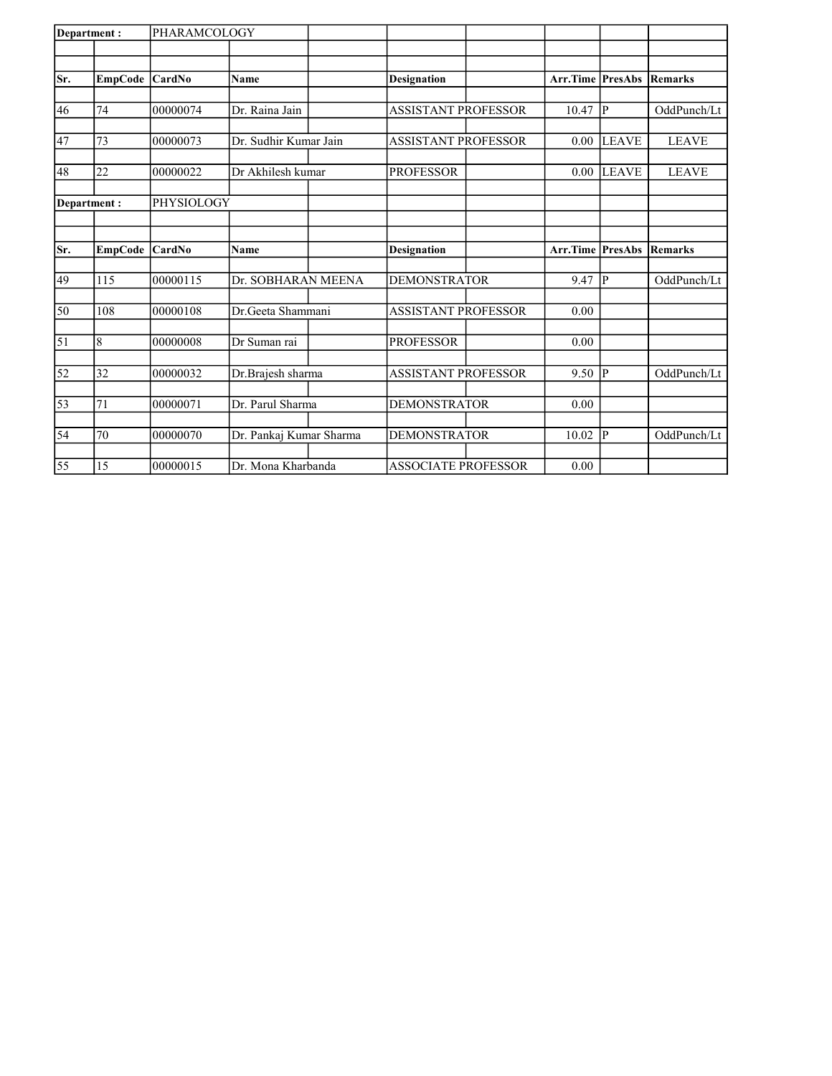| Department: |                | <b>PHARAMCOLOGY</b> |                         |                            |                         |                |                |
|-------------|----------------|---------------------|-------------------------|----------------------------|-------------------------|----------------|----------------|
|             |                |                     |                         |                            |                         |                |                |
| Sr.         | <b>EmpCode</b> | <b>CardNo</b>       | <b>Name</b>             | Designation                | <b>Arr.Time PresAbs</b> |                | <b>Remarks</b> |
|             |                |                     |                         |                            |                         |                |                |
| 46          | 74             | 00000074            | Dr. Raina Jain          | <b>ASSISTANT PROFESSOR</b> | 10.47                   | <sup> p</sup>  | OddPunch/Lt    |
| 47          | 73             | 00000073            | Dr. Sudhir Kumar Jain   | <b>ASSISTANT PROFESSOR</b> | 0.00                    | <b>LEAVE</b>   | <b>LEAVE</b>   |
|             |                |                     |                         |                            |                         |                |                |
| 48          | 22             | 00000022            | Dr Akhilesh kumar       | <b>PROFESSOR</b>           | 0.00                    | <b>LEAVE</b>   | <b>LEAVE</b>   |
|             | Department:    | PHYSIOLOGY          |                         |                            |                         |                |                |
|             |                |                     |                         |                            |                         |                |                |
| Sr.         |                | <b>CardNo</b>       |                         |                            | <b>Arr.Time PresAbs</b> |                | <b>Remarks</b> |
|             | <b>EmpCode</b> |                     | Name                    | <b>Designation</b>         |                         |                |                |
| 49          | 115            | 00000115            | Dr. SOBHARAN MEENA      | <b>DEMONSTRATOR</b>        | 9.47                    | P              | OddPunch/Lt    |
| 50          | 108            | 00000108            | Dr.Geeta Shammani       | <b>ASSISTANT PROFESSOR</b> | 0.00                    |                |                |
|             |                |                     |                         |                            |                         |                |                |
| $\vert$ 51  | 8              | 00000008            | Dr Suman rai            | <b>PROFESSOR</b>           | 0.00                    |                |                |
| 52          | 32             | 00000032            | Dr.Brajesh sharma       | <b>ASSISTANT PROFESSOR</b> | 9.50                    | P              | OddPunch/Lt    |
| 53          | 71             | 00000071            | Dr. Parul Sharma        | <b>DEMONSTRATOR</b>        | 0.00                    |                |                |
|             |                |                     |                         |                            |                         |                |                |
| 54          | 70             | 00000070            | Dr. Pankaj Kumar Sharma | <b>DEMONSTRATOR</b>        | 10.02                   | $\overline{P}$ | OddPunch/Lt    |
| 55          | 15             | 00000015            | Dr. Mona Kharbanda      | <b>ASSOCIATE PROFESSOR</b> | 0.00                    |                |                |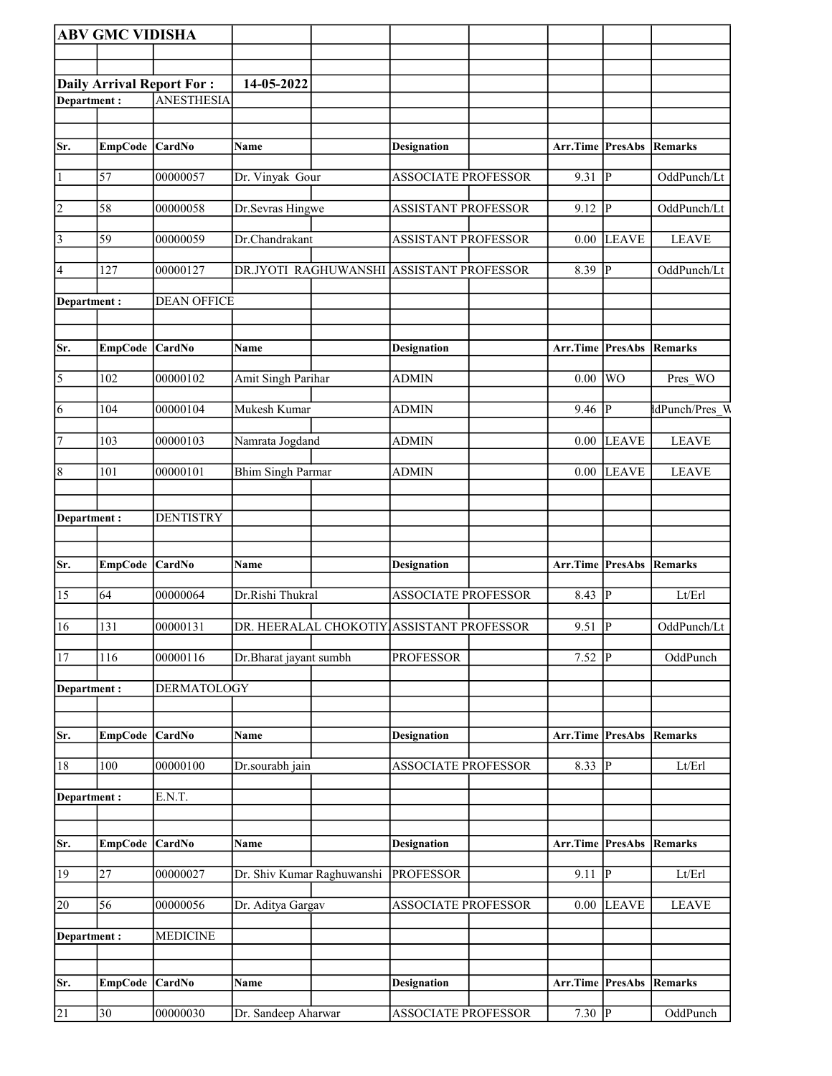|                       | <b>ABV GMC VIDISHA</b> |                                  |                            |                      |                                           |                  |                |                |
|-----------------------|------------------------|----------------------------------|----------------------------|----------------------|-------------------------------------------|------------------|----------------|----------------|
|                       |                        |                                  |                            |                      |                                           |                  |                |                |
|                       |                        | <b>Daily Arrival Report For:</b> | 14-05-2022                 |                      |                                           |                  |                |                |
| Department:           |                        | <b>ANESTHESIA</b>                |                            |                      |                                           |                  |                |                |
|                       |                        |                                  |                            |                      |                                           |                  |                |                |
|                       |                        |                                  |                            |                      |                                           |                  |                |                |
| Sr.                   | EmpCode CardNo         |                                  | Name                       |                      | <b>Designation</b>                        | Arr.Time PresAbs |                | Remarks        |
| $\vert$ 1             | 57                     | 00000057                         | Dr. Vinyak Gour            |                      | <b>ASSOCIATE PROFESSOR</b>                | 9.31             | P              | OddPunch/Lt    |
| $\vert$ 2             | 58                     | 00000058                         | Dr.Sevras Hingwe           |                      | <b>ASSISTANT PROFESSOR</b>                | 9.12             | P              | OddPunch/Lt    |
| $\vert$ 3             | 59                     | 00000059                         | Dr.Chandrakant             |                      | <b>ASSISTANT PROFESSOR</b>                | 0.00             | <b>LEAVE</b>   | <b>LEAVE</b>   |
| 4                     | 127                    | 00000127                         |                            | DR.JYOTI RAGHUWANSHI | <b>ASSISTANT PROFESSOR</b>                | 8.39             | $ {\bf p} $    | OddPunch/Lt    |
| Department:           |                        | <b>DEAN OFFICE</b>               |                            |                      |                                           |                  |                |                |
| Sr.                   | EmpCode CardNo         |                                  | Name                       |                      | <b>Designation</b>                        | Arr.Time PresAbs |                | Remarks        |
| $\overline{\sqrt{5}}$ | 102                    | 00000102                         | Amit Singh Parihar         |                      | <b>ADMIN</b>                              | 0.00             | <b>WO</b>      | Pres WO        |
| 6                     | 104                    | 00000104                         | Mukesh Kumar               |                      | <b>ADMIN</b>                              | 9.46             | P              | dPunch/Pres W  |
| $\vert$ 7             | 103                    | 00000103                         | Namrata Jogdand            |                      | <b>ADMIN</b>                              | 0.00             | <b>LEAVE</b>   | <b>LEAVE</b>   |
| 8                     | 101                    | 00000101                         | <b>Bhim Singh Parmar</b>   |                      | <b>ADMIN</b>                              | 0.00             | <b>LEAVE</b>   | <b>LEAVE</b>   |
| Department:           |                        | <b>DENTISTRY</b>                 |                            |                      |                                           |                  |                |                |
| Sr.                   | <b>EmpCode</b>         | <b>CardNo</b>                    | Name                       |                      | <b>Designation</b>                        | Arr.Time PresAbs |                | <b>Remarks</b> |
| 15                    | 64                     | 00000064                         | Dr.Rishi Thukral           |                      | <b>ASSOCIATE PROFESSOR</b>                | 8.43             | $\overline{P}$ | Lt/Erl         |
| 16                    | 131                    | 00000131                         |                            |                      | DR. HEERALAL CHOKOTIY ASSISTANT PROFESSOR | 9.51             | $\overline{P}$ | OddPunch/Lt    |
| 17                    | 116                    | 00000116                         | Dr.Bharat jayant sumbh     |                      | <b>PROFESSOR</b>                          | 7.52             | P              | OddPunch       |
| Department:           |                        | <b>DERMATOLOGY</b>               |                            |                      |                                           |                  |                |                |
| Sr.                   | <b>EmpCode</b>         | CardNo                           | Name                       |                      | <b>Designation</b>                        | Arr.Time PresAbs |                | <b>Remarks</b> |
| 18                    | 100                    | 00000100                         | Dr.sourabh jain            |                      | <b>ASSOCIATE PROFESSOR</b>                | 8.33             | ${\bf P}$      | Lt/Erl         |
| Department:           |                        | E.N.T.                           |                            |                      |                                           |                  |                |                |
| Sr.                   | <b>EmpCode</b>         | CardNo                           | Name                       |                      | <b>Designation</b>                        | Arr.Time PresAbs |                | Remarks        |
| 19                    | $\overline{27}$        | 00000027                         | Dr. Shiv Kumar Raghuwanshi |                      | <b>PROFESSOR</b>                          | 9.11             | $ {\bf p} $    | Lt/Erl         |
| 20                    | 56                     | 00000056                         | Dr. Aditya Gargav          |                      | <b>ASSOCIATE PROFESSOR</b>                | 0.00             | <b>LEAVE</b>   | <b>LEAVE</b>   |
| Department:           |                        | <b>MEDICINE</b>                  |                            |                      |                                           |                  |                |                |
|                       |                        |                                  |                            |                      |                                           |                  |                |                |
| Sr.                   | <b>EmpCode</b>         | CardNo                           | Name                       |                      | <b>Designation</b>                        | Arr.Time PresAbs |                | Remarks        |
| 21                    | 30                     | 00000030                         | Dr. Sandeep Aharwar        |                      | <b>ASSOCIATE PROFESSOR</b>                | 7.30 $\boxed{P}$ |                | OddPunch       |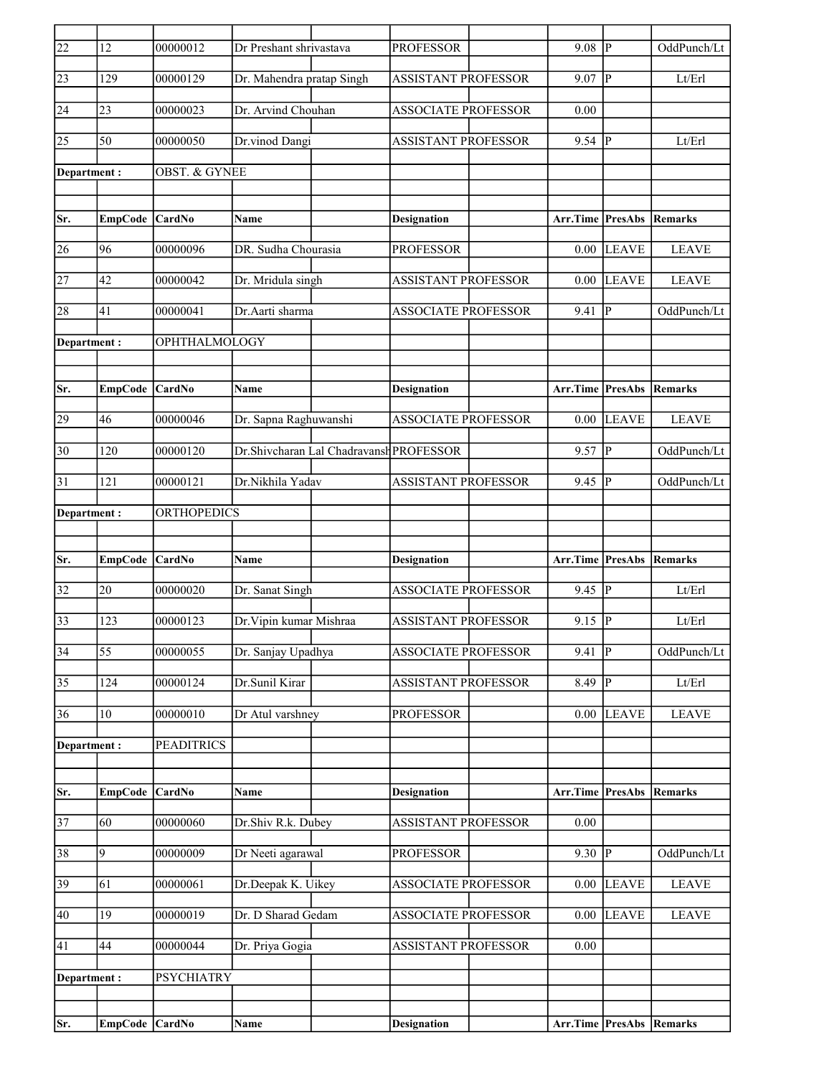| $\overline{22}$ | 12              | 00000012                 | Dr Preshant shrivastava   |                                         | <b>PROFESSOR</b>           | 9.08                            | IР                     | OddPunch/Lt                |
|-----------------|-----------------|--------------------------|---------------------------|-----------------------------------------|----------------------------|---------------------------------|------------------------|----------------------------|
| 23              | 129             | 00000129                 | Dr. Mahendra pratap Singh |                                         | <b>ASSISTANT PROFESSOR</b> | 9.07                            | P                      | Lt/Erl                     |
| 24              | 23              | 00000023                 | Dr. Arvind Chouhan        |                                         | <b>ASSOCIATE PROFESSOR</b> | 0.00                            |                        |                            |
| 25              | 50              | 00000050                 | Dr.vinod Dangi            |                                         | <b>ASSISTANT PROFESSOR</b> | 9.54                            | p                      | Lt/Erl                     |
| Department :    |                 | <b>OBST. &amp; GYNEE</b> |                           |                                         |                            |                                 |                        |                            |
|                 |                 |                          |                           |                                         |                            |                                 |                        |                            |
| Sr.             | EmpCode CardNo  |                          | Name                      |                                         | <b>Designation</b>         | <b>Arr.Time PresAbs Remarks</b> |                        |                            |
| 26              | 96              | 00000096                 | DR. Sudha Chourasia       |                                         | <b>PROFESSOR</b>           | 0.00                            | <b>LEAVE</b>           | <b>LEAVE</b>               |
| 27              | 42              | 00000042                 | Dr. Mridula singh         |                                         | <b>ASSISTANT PROFESSOR</b> | 0.00                            | <b>LEAVE</b>           | <b>LEAVE</b>               |
| 28              | 41              | 00000041                 | Dr.Aarti sharma           |                                         | <b>ASSOCIATE PROFESSOR</b> | 9.41                            | P                      | OddPunch/Lt                |
| Department:     |                 | OPHTHALMOLOGY            |                           |                                         |                            |                                 |                        |                            |
|                 |                 |                          |                           |                                         |                            |                                 |                        |                            |
| Sr.             | <b>EmpCode</b>  | CardNo                   | Name                      |                                         | <b>Designation</b>         | <b>Arr.Time PresAbs</b>         |                        | Remarks                    |
| 29              | 46              | 00000046                 | Dr. Sapna Raghuwanshi     |                                         | <b>ASSOCIATE PROFESSOR</b> | 0.00                            | <b>LEAVE</b>           | <b>LEAVE</b>               |
| 30              | 120             | 00000120                 |                           | Dr.Shivcharan Lal Chadravansh PROFESSOR |                            | 9.57                            | P                      | OddPunch/Lt                |
| $\overline{31}$ | 121             | 00000121                 | Dr.Nikhila Yadav          |                                         | <b>ASSISTANT PROFESSOR</b> | 9.45                            | P                      | OddPunch/Lt                |
| Department:     |                 | <b>ORTHOPEDICS</b>       |                           |                                         |                            |                                 |                        |                            |
|                 |                 |                          |                           |                                         |                            |                                 |                        |                            |
| Sr.             | EmpCode         | <b>CardNo</b>            | Name                      |                                         | <b>Designation</b>         | Arr.Time PresAbs                |                        | Remarks                    |
| 32              | 20              | 00000020                 | Dr. Sanat Singh           |                                         | <b>ASSOCIATE PROFESSOR</b> | 9.45                            | P                      | Lt/Erl                     |
| 33              | 123             | 00000123                 | Dr. Vipin kumar Mishraa   |                                         | <b>ASSISTANT PROFESSOR</b> | 9.15                            | P                      | Lt/Erl                     |
| $\overline{34}$ | $\overline{55}$ | 00000055                 | Dr. Sanjay Upadhya        |                                         | <b>ASSOCIATE PROFESSOR</b> | 9.41                            | $\overline{P}$         | OddPunch/Lt                |
| 35              | 124             | 00000124                 | Dr.Sunil Kirar            |                                         | ASSISTANT PROFESSOR        | $8.49$ P                        |                        | $\mathbf{Lt}/\mathbf{Erl}$ |
| 36              | $10\,$          | 00000010                 | Dr Atul varshney          |                                         | <b>PROFESSOR</b>           | 0.00                            | <b>LEAVE</b>           | <b>LEAVE</b>               |
| Department:     |                 | <b>PEADITRICS</b>        |                           |                                         |                            |                                 |                        |                            |
|                 |                 |                          |                           |                                         |                            |                                 |                        |                            |
| Sr.             | <b>EmpCode</b>  | CardNo                   | Name                      |                                         | <b>Designation</b>         | Arr.Time                        | <b>PresAbs Remarks</b> |                            |
| $\overline{37}$ | 60              | 00000060                 | Dr.Shiv R.k. Dubey        |                                         | ASSISTANT PROFESSOR        | $0.00\,$                        |                        |                            |
| 38              | 9               | 00000009                 | Dr Neeti agarawal         |                                         | <b>PROFESSOR</b>           | 9.30   P                        |                        | OddPunch/Lt                |
| 39              | 61              | 00000061                 | Dr.Deepak K. Uikey        |                                         | ASSOCIATE PROFESSOR        | $0.00\,$                        | <b>LEAVE</b>           | <b>LEAVE</b>               |
|                 |                 |                          |                           |                                         |                            |                                 |                        |                            |
| 40              | 19              | 00000019                 | Dr. D Sharad Gedam        |                                         | <b>ASSOCIATE PROFESSOR</b> | 0.00                            | <b>LEAVE</b>           | <b>LEAVE</b>               |
| 41              | 44              | 00000044                 | Dr. Priya Gogia           |                                         | <b>ASSISTANT PROFESSOR</b> | 0.00                            |                        |                            |
|                 |                 |                          |                           |                                         |                            |                                 |                        |                            |
| Department:     |                 | <b>PSYCHIATRY</b>        |                           |                                         |                            |                                 |                        |                            |
| Sr.             | EmpCode CardNo  |                          | Name                      |                                         | <b>Designation</b>         | Arr.Time PresAbs Remarks        |                        |                            |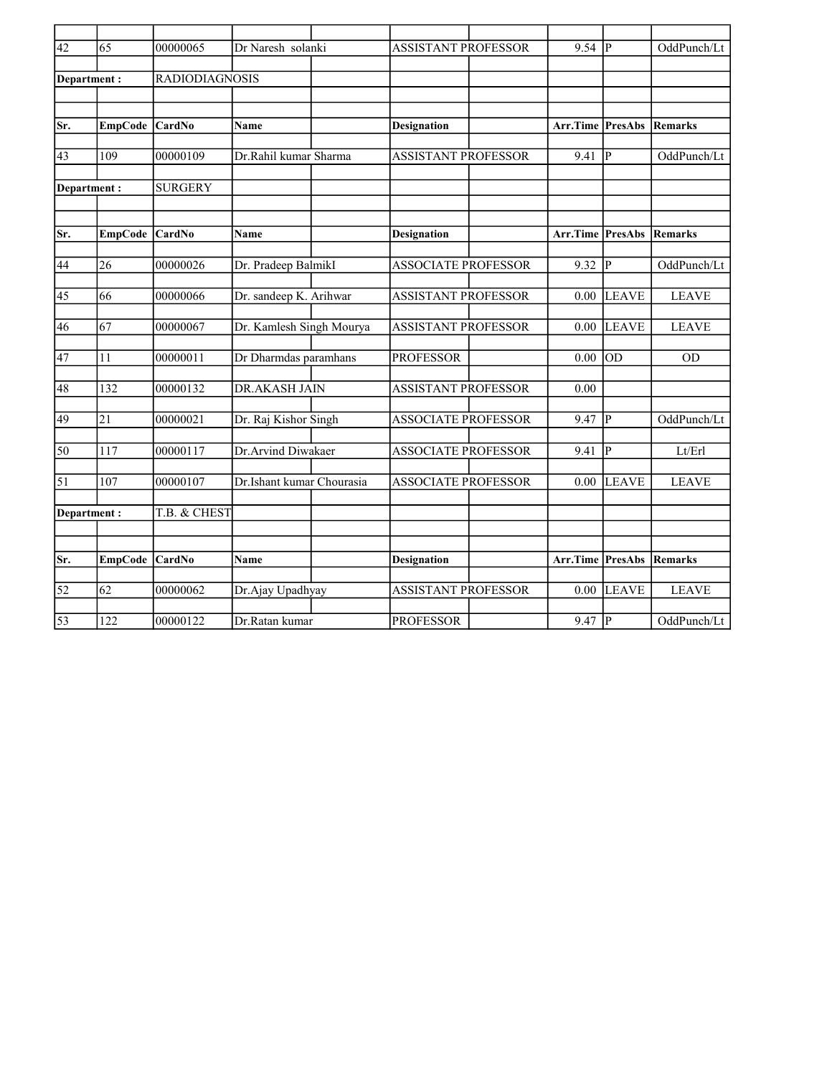| $\overline{42}$ | 65               | 00000065              | Dr Naresh solanki         | <b>ASSISTANT PROFESSOR</b> | 9.54     | IР             | OddPunch/Lt    |
|-----------------|------------------|-----------------------|---------------------------|----------------------------|----------|----------------|----------------|
|                 |                  |                       |                           |                            |          |                |                |
| Department:     |                  | <b>RADIODIAGNOSIS</b> |                           |                            |          |                |                |
|                 |                  |                       |                           |                            |          |                |                |
|                 |                  |                       |                           |                            |          |                |                |
| Sr.             | EmpCode CardNo   |                       | <b>Name</b>               | <b>Designation</b>         | Arr.Time | <b>PresAbs</b> | <b>Remarks</b> |
|                 |                  |                       |                           |                            |          |                |                |
| $\overline{43}$ | 109              | 00000109              | Dr.Rahil kumar Sharma     | <b>ASSISTANT PROFESSOR</b> | 9.41     | lР             | OddPunch/Lt    |
|                 |                  |                       |                           |                            |          |                |                |
| Department:     |                  | <b>SURGERY</b>        |                           |                            |          |                |                |
|                 |                  |                       |                           |                            |          |                |                |
|                 |                  |                       |                           |                            |          |                |                |
| Sr.             | EmpCode CardNo   |                       | <b>Name</b>               | <b>Designation</b>         | Arr.Time | <b>PresAbs</b> | <b>Remarks</b> |
|                 |                  |                       |                           |                            |          |                |                |
| 44              | 26               | 00000026              | Dr. Pradeep BalmikI       | <b>ASSOCIATE PROFESSOR</b> | 9.32     | IР             | OddPunch/Lt    |
|                 |                  |                       |                           |                            |          |                |                |
| 45              | 66               | 00000066              | Dr. sandeep K. Arihwar    | <b>ASSISTANT PROFESSOR</b> | 0.00     | <b>LEAVE</b>   | <b>LEAVE</b>   |
|                 |                  |                       |                           |                            |          |                |                |
| 46              | 67               | 00000067              | Dr. Kamlesh Singh Mourya  | <b>ASSISTANT PROFESSOR</b> | 0.00     | <b>LEAVE</b>   | <b>LEAVE</b>   |
|                 |                  |                       |                           |                            |          |                |                |
| 47              | 11               | 00000011              | Dr Dharmdas paramhans     | <b>PROFESSOR</b>           | 0.00     | OD             | <b>OD</b>      |
|                 |                  |                       |                           |                            |          |                |                |
|                 |                  |                       |                           |                            |          |                |                |
| 48              | 132              | 00000132              | <b>DR.AKASH JAIN</b>      | <b>ASSISTANT PROFESSOR</b> | 0.00     |                |                |
|                 |                  |                       |                           |                            |          |                |                |
| 49              | 21               | 00000021              | Dr. Raj Kishor Singh      | <b>ASSOCIATE PROFESSOR</b> | 9.47     | P              | OddPunch/Lt    |
|                 |                  |                       |                           |                            |          |                |                |
| 50              | 117              | 00000117              | Dr.Arvind Diwakaer        | <b>ASSOCIATE PROFESSOR</b> | 9.41     | IР             | Lt/Erl         |
|                 |                  |                       |                           |                            |          |                |                |
| $\overline{51}$ | $\overline{107}$ | 00000107              | Dr.Ishant kumar Chourasia | <b>ASSOCIATE PROFESSOR</b> | 0.00     | <b>LEAVE</b>   | <b>LEAVE</b>   |
|                 |                  |                       |                           |                            |          |                |                |
| Department:     |                  | T.B. & CHEST          |                           |                            |          |                |                |
|                 |                  |                       |                           |                            |          |                |                |
|                 |                  |                       |                           |                            |          |                |                |
| Sr.             | EmpCode          | CardNo                | <b>Name</b>               | <b>Designation</b>         | Arr.Time | PresAbs        | <b>Remarks</b> |
|                 |                  |                       |                           |                            |          |                |                |
| $\overline{52}$ | 62               | 00000062              | Dr.Ajay Upadhyay          | <b>ASSISTANT PROFESSOR</b> | 0.00     | <b>LEAVE</b>   | <b>LEAVE</b>   |
|                 |                  |                       |                           |                            |          |                |                |
| $\overline{53}$ | 122              | 00000122              | Dr.Ratan kumar            | <b>PROFESSOR</b>           | 9.47     | $\overline{P}$ | OddPunch/Lt    |